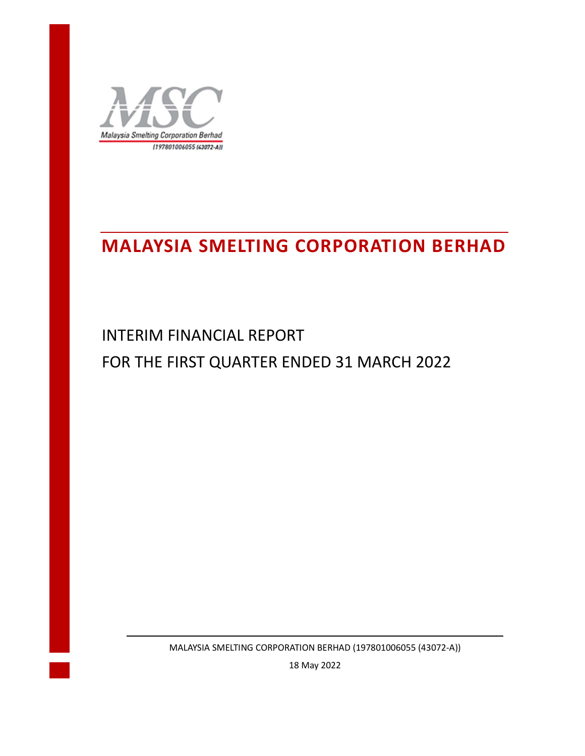

# **MALAYSIA SMELTING CORPORATION BERHAD**

INTERIM FINANCIAL REPORT FOR THE FIRST QUARTER ENDED 31 MARCH 2022

MALAYSIA SMELTING CORPORATION BERHAD (197801006055 (43072-A))

18 May 2022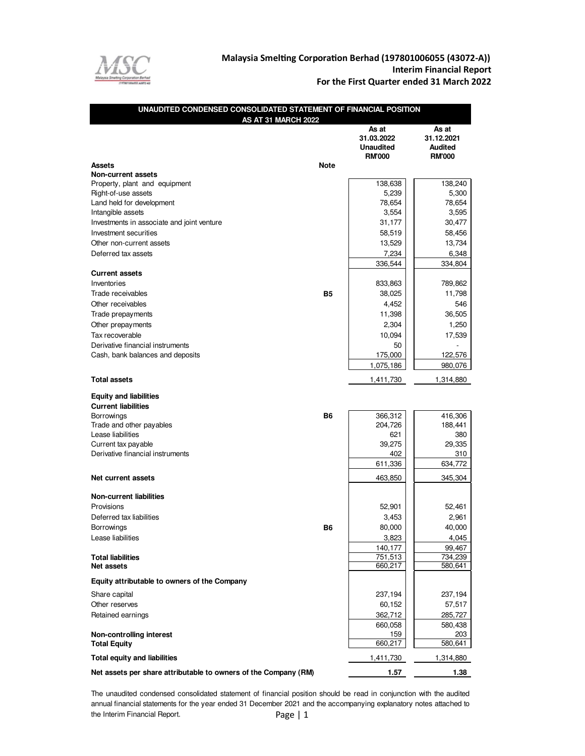

## Malaysia Smelting Corporation Berhad (197801006055 (43072-A))  **Interim Financial Report For the First Quarter ended 31 March 2022**

| UNAUDITED CONDENSED CONSOLIDATED STATEMENT OF FINANCIAL POSITION |             |                                                          |                                                        |
|------------------------------------------------------------------|-------------|----------------------------------------------------------|--------------------------------------------------------|
| AS AT 31 MARCH 2022                                              |             | As at<br>31.03.2022<br><b>Unaudited</b><br><b>RM'000</b> | As at<br>31.12.2021<br><b>Audited</b><br><b>RM'000</b> |
| Assets                                                           | <b>Note</b> |                                                          |                                                        |
| <b>Non-current assets</b>                                        |             | 138,638                                                  | 138,240                                                |
| Property, plant and equipment<br>Right-of-use assets             |             | 5,239                                                    | 5,300                                                  |
| Land held for development                                        |             | 78,654                                                   | 78,654                                                 |
| Intangible assets                                                |             | 3,554                                                    | 3,595                                                  |
| Investments in associate and joint venture                       |             | 31,177                                                   | 30,477                                                 |
| Investment securities                                            |             | 58,519                                                   | 58,456                                                 |
| Other non-current assets                                         |             | 13,529                                                   | 13,734                                                 |
| Deferred tax assets                                              |             | 7,234                                                    | 6,348                                                  |
|                                                                  |             | 336,544                                                  | 334,804                                                |
| <b>Current assets</b>                                            |             |                                                          |                                                        |
| Inventories                                                      |             | 833,863                                                  | 789,862                                                |
| Trade receivables                                                | <b>B5</b>   | 38,025                                                   | 11,798                                                 |
| Other receivables                                                |             | 4,452                                                    | 546                                                    |
| Trade prepayments                                                |             | 11,398                                                   | 36,505                                                 |
| Other prepayments                                                |             | 2,304                                                    | 1,250                                                  |
| Tax recoverable                                                  |             | 10,094                                                   | 17,539                                                 |
| Derivative financial instruments                                 |             | 50                                                       |                                                        |
| Cash, bank balances and deposits                                 |             | 175,000                                                  | 122,576                                                |
|                                                                  |             | 1,075,186                                                | 980,076                                                |
| <b>Total assets</b>                                              |             | 1,411,730                                                | 1,314,880                                              |
| <b>Equity and liabilities</b>                                    |             |                                                          |                                                        |
| <b>Current liabilities</b>                                       |             |                                                          |                                                        |
| Borrowings                                                       | <b>B6</b>   | 366,312                                                  | 416,306                                                |
| Trade and other payables                                         |             | 204,726                                                  | 188,441                                                |
| Lease liabilities                                                |             | 621                                                      | 380                                                    |
| Current tax payable                                              |             | 39,275                                                   | 29,335                                                 |
| Derivative financial instruments                                 |             | 402                                                      | 310                                                    |
|                                                                  |             | 611,336                                                  | 634,772                                                |
| Net current assets                                               |             | 463,850                                                  | 345,304                                                |
| <b>Non-current liabilities</b>                                   |             |                                                          |                                                        |
| Provisions                                                       |             | 52,901                                                   | 52,461                                                 |
| Deferred tax liabilities                                         |             | 3,453                                                    | 2,961                                                  |
| Borrowings                                                       | <b>B6</b>   | 80,000                                                   | 40,000                                                 |
| Lease liabilities                                                |             | 3,823                                                    | 4,045                                                  |
|                                                                  |             | 140,177                                                  | 99,467                                                 |
| <b>Total liabilities</b>                                         |             | 751,513                                                  | 734,239                                                |
| Net assets                                                       |             | 660,217                                                  | 580,641                                                |
| Equity attributable to owners of the Company                     |             |                                                          |                                                        |
| Share capital                                                    |             | 237,194                                                  | 237,194                                                |
| Other reserves                                                   |             | 60,152                                                   | 57,517                                                 |
| Retained earnings                                                |             | 362,712                                                  | 285,727                                                |
|                                                                  |             | 660,058                                                  | 580,438                                                |
| Non-controlling interest                                         |             | 159                                                      | 203                                                    |
| <b>Total Equity</b>                                              |             | 660,217                                                  | 580,641                                                |
| <b>Total equity and liabilities</b>                              |             | 1,411,730                                                | 1,314,880                                              |
| Net assets per share attributable to owners of the Company (RM)  |             | 1.57                                                     | 1.38                                                   |

Page | 1 The unaudited condensed consolidated statement of financial position should be read in conjunction with the audited annual financial statements for the year ended 31 December 2021 and the accompanying explanatory notes attached to the Interim Financial Report.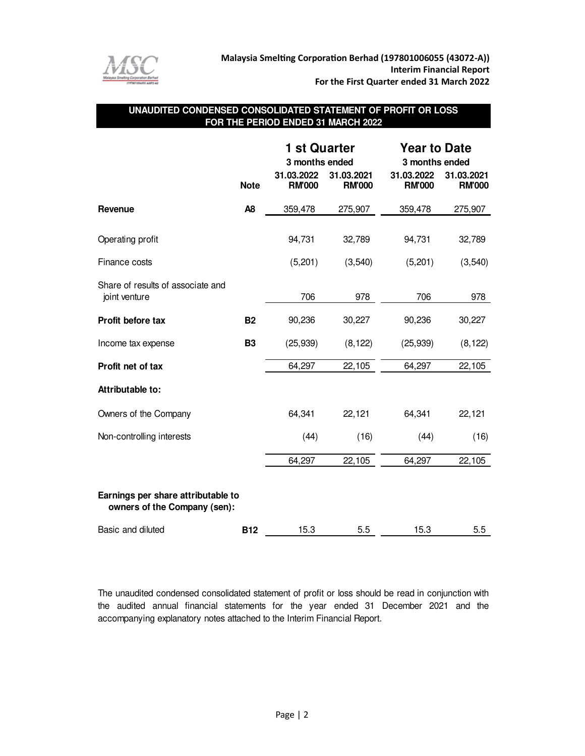

## **UNAUDITED CONDENSED CONSOLIDATED STATEMENT OF PROFIT OR LOSS FOR THE PERIOD ENDED 31 MARCH 2022**

|                                                                    |                | <b>1 st Quarter</b>         |                             | <b>Year to Date</b>         |                             |  |  |
|--------------------------------------------------------------------|----------------|-----------------------------|-----------------------------|-----------------------------|-----------------------------|--|--|
|                                                                    |                | 3 months ended              |                             |                             | 3 months ended              |  |  |
|                                                                    | <b>Note</b>    | 31.03.2022<br><b>RM'000</b> | 31.03.2021<br><b>RM'000</b> | 31.03.2022<br><b>RM'000</b> | 31.03.2021<br><b>RM'000</b> |  |  |
| Revenue                                                            | A <sub>8</sub> | 359,478                     | 275,907                     | 359,478                     | 275,907                     |  |  |
| Operating profit                                                   |                | 94,731                      | 32,789                      | 94,731                      | 32,789                      |  |  |
| Finance costs                                                      |                | (5,201)                     | (3, 540)                    | (5,201)                     | (3, 540)                    |  |  |
| Share of results of associate and<br>joint venture                 |                | 706                         | 978                         | 706                         | 978                         |  |  |
| Profit before tax                                                  | <b>B2</b>      | 90,236                      | 30,227                      | 90,236                      | 30,227                      |  |  |
| Income tax expense                                                 | <b>B3</b>      | (25, 939)                   | (8, 122)                    | (25, 939)                   | (8, 122)                    |  |  |
| Profit net of tax                                                  |                | 64,297                      | 22,105                      | 64,297                      | 22,105                      |  |  |
| Attributable to:                                                   |                |                             |                             |                             |                             |  |  |
| Owners of the Company                                              |                | 64,341                      | 22,121                      | 64,341                      | 22,121                      |  |  |
| Non-controlling interests                                          |                | (44)                        | (16)                        | (44)                        | (16)                        |  |  |
|                                                                    |                | 64,297                      | 22,105                      | 64,297                      | 22,105                      |  |  |
| Earnings per share attributable to<br>owners of the Company (sen): |                |                             |                             |                             |                             |  |  |
| Basic and diluted                                                  | <b>B12</b>     | 15.3                        | 5.5                         | 15.3                        | 5.5                         |  |  |

The unaudited condensed consolidated statement of profit or loss should be read in conjunction with the audited annual financial statements for the year ended 31 December 2021 and the accompanying explanatory notes attached to the Interim Financial Report.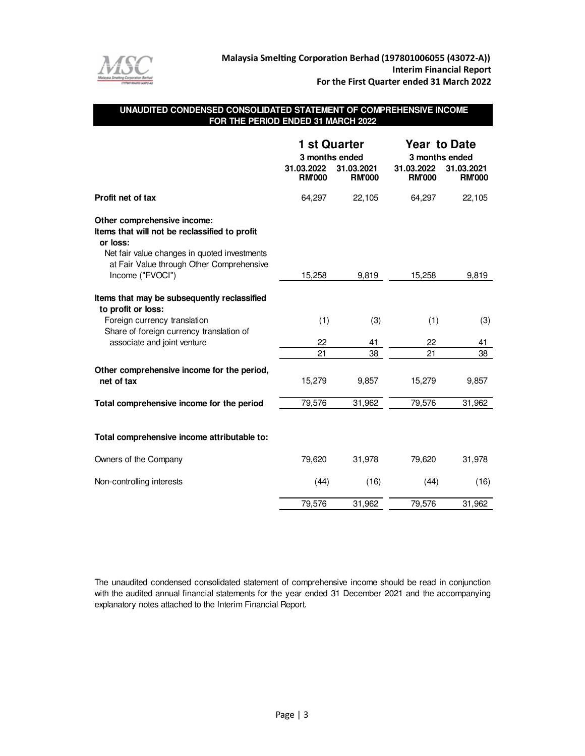

## **UNAUDITED CONDENSED CONSOLIDATED STATEMENT OF COMPREHENSIVE INCOME FOR THE PERIOD ENDED 31 MARCH 2022**

|                                                                                                                                                                                                           | 3 months ended<br>31.03.2022<br><b>RM'000</b> | 1 st Quarter<br>31.03.2021<br><b>RM'000</b> | <b>Year to Date</b><br>3 months ended<br>31.03.2022<br>31.03.2021<br><b>RM'000</b><br><b>RM'000</b> |          |  |
|-----------------------------------------------------------------------------------------------------------------------------------------------------------------------------------------------------------|-----------------------------------------------|---------------------------------------------|-----------------------------------------------------------------------------------------------------|----------|--|
| Profit net of tax                                                                                                                                                                                         | 64,297                                        | 22,105                                      | 64,297                                                                                              | 22,105   |  |
| Other comprehensive income:<br>Items that will not be reclassified to profit<br>or loss:<br>Net fair value changes in quoted investments<br>at Fair Value through Other Comprehensive<br>Income ("FVOCI") | 15,258                                        | 9,819                                       | 15,258                                                                                              | 9,819    |  |
|                                                                                                                                                                                                           |                                               |                                             |                                                                                                     |          |  |
| Items that may be subsequently reclassified<br>to profit or loss:                                                                                                                                         |                                               |                                             |                                                                                                     |          |  |
| Foreign currency translation<br>Share of foreign currency translation of                                                                                                                                  | (1)                                           | (3)                                         | (1)                                                                                                 | (3)      |  |
| associate and joint venture                                                                                                                                                                               | 22<br>21                                      | 41<br>38                                    | 22<br>21                                                                                            | 41<br>38 |  |
| Other comprehensive income for the period,<br>net of tax                                                                                                                                                  | 15,279                                        | 9,857                                       | 15,279                                                                                              | 9,857    |  |
| Total comprehensive income for the period                                                                                                                                                                 | 79,576                                        | 31,962                                      | 79,576                                                                                              | 31,962   |  |
| Total comprehensive income attributable to:                                                                                                                                                               |                                               |                                             |                                                                                                     |          |  |
| Owners of the Company                                                                                                                                                                                     | 79,620                                        | 31,978                                      | 79,620                                                                                              | 31,978   |  |
| Non-controlling interests                                                                                                                                                                                 | (44)                                          | (16)                                        | (44)                                                                                                | (16)     |  |
|                                                                                                                                                                                                           | 79,576                                        | 31,962                                      | 79,576                                                                                              | 31,962   |  |

The unaudited condensed consolidated statement of comprehensive income should be read in conjunction with the audited annual financial statements for the year ended 31 December 2021 and the accompanying explanatory notes attached to the Interim Financial Report.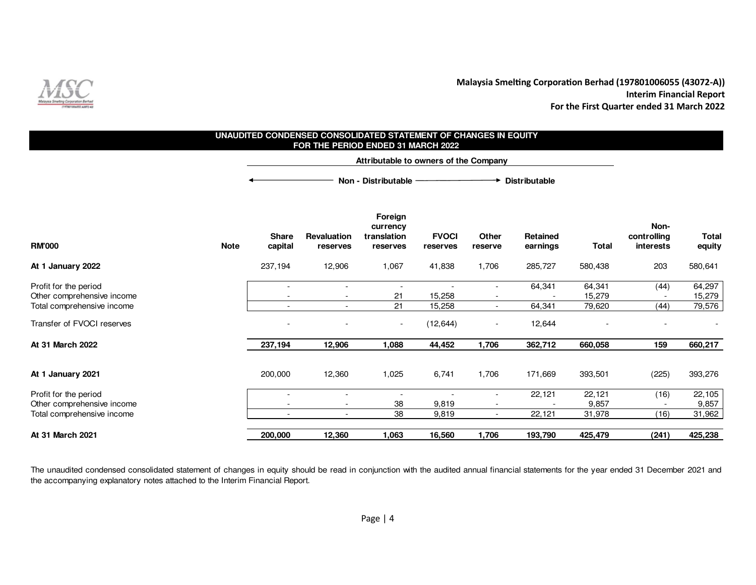

#### **DistributableForeign currency Non-Share Revaluation translation FVOCI Other Retained controlling Total RM'000 Note capital reserves reserves reserves reserve earnings Total interests equity At 1 January 2022** 237,194 237,194 223 237,194 1,067 41,838 1,706 285,727 580,438 203 580,641 Profit for the period and the set of the period of the period of the set of the set of the set of the set of the set of the set of the set of the set of the set of the set of the set of the set of the set of the set of the - - - - 64,341 64,341 (44) 64,29715,279 Other comprehensive income - 21 15,258 - - 15,279 - 15,27979,576 Total comprehensive income  $\overline{\phantom{a}}$ - 21 15,258 - 64,341 79,620 (44) 79,576 - 79,576 Transfer of FVOCI reserves and the set of the serves of the server of the server of the server of the server of the server of the server of the server of the server of the server of the server of the server of the server o - - (12,644) - 12,644 - - - **At 31 March 2022** 237,194 12,906 **237,194 1,088 44,452 1,706 362,712 660,058 159 660,217 At 1 January 2021** 12,360 200,000 1,025 6,741 1,706 171,669 393,501 (225) 393,276 Profit for the period **Figure 2** and  $\overline{a}$  and  $\overline{b}$  and  $\overline{c}$  and  $\overline{d}$  and  $\overline{d}$  and  $\overline{d}$  and  $\overline{d}$  and  $\overline{d}$  and  $\overline{d}$  and  $\overline{d}$  and  $\overline{d}$  and  $\overline{d}$  and  $\overline{d}$  and  $\overline{d}$  and  $\over$ - - - - - - - - - - - - - 22,121 22,121 (16) 22,105 9,857 Other comprehensive income - 38 9,819 - - 9,857 - 9,85731,962 Total comprehensive income the state of the state of the state of the state of the state of the state of the state of the state of the state of the state of the state of the state of the state of the state of the state of - 38 9,819 - 22,121 31,978 (16) 31,962At 31 March 2021 **12,360 12,360 200,000 1,063 16,560 1,706 193,790 425,479 (241) 425,238 UNAUDITED CONDENSED CONSOLIDATED STATEMENT OF CHANGES IN EQUITY FOR THE PERIOD ENDED 31 MARCH 2022 Attributable to owners of the CompanyNon - Distributable**

The unaudited condensed consolidated statement of changes in equity should be read in conjunction with the audited annual financial statements for the year ended <sup>31</sup> December <sup>2021</sup> andthe accompanying explanatory notes attached to the Interim Financial Report.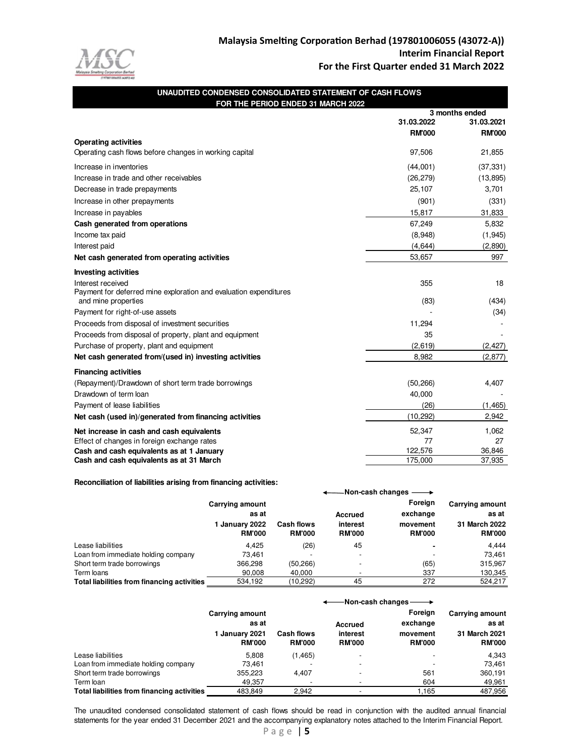

| UNAUDITED CONDENSED CONSOLIDATED STATEMENT OF CASH FLOWS          |               |                              |
|-------------------------------------------------------------------|---------------|------------------------------|
| FOR THE PERIOD ENDED 31 MARCH 2022                                |               |                              |
|                                                                   | 31.03.2022    | 3 months ended<br>31.03.2021 |
|                                                                   | <b>RM'000</b> | <b>RM'000</b>                |
| <b>Operating activities</b>                                       |               |                              |
| Operating cash flows before changes in working capital            | 97,506        | 21,855                       |
| Increase in inventories                                           | (44,001)      | (37, 331)                    |
| Increase in trade and other receivables                           | (26, 279)     | (13, 895)                    |
| Decrease in trade prepayments                                     | 25,107        | 3,701                        |
| Increase in other prepayments                                     | (901)         | (331)                        |
| Increase in payables                                              | 15,817        | 31,833                       |
| Cash generated from operations                                    | 67,249        | 5,832                        |
| Income tax paid                                                   | (8,948)       | (1, 945)                     |
| Interest paid                                                     | (4, 644)      | (2,890)                      |
| Net cash generated from operating activities                      | 53,657        | 997                          |
| <b>Investing activities</b>                                       |               |                              |
| Interest received                                                 | 355           | 18                           |
| Payment for deferred mine exploration and evaluation expenditures |               |                              |
| and mine properties                                               | (83)          | (434)                        |
| Payment for right-of-use assets                                   |               | (34)                         |
| Proceeds from disposal of investment securities                   | 11,294        |                              |
| Proceeds from disposal of property, plant and equipment           | 35            |                              |
| Purchase of property, plant and equipment                         | (2,619)       | (2, 427)                     |
| Net cash generated from/(used in) investing activities            | 8,982         | (2, 877)                     |
| <b>Financing activities</b>                                       |               |                              |
| (Repayment)/Drawdown of short term trade borrowings               | (50, 266)     | 4,407                        |
| Drawdown of term loan                                             | 40,000        |                              |
| Payment of lease liabilities                                      | (26)          | (1, 465)                     |
| Net cash (used in)/generated from financing activities            | (10, 292)     | 2,942                        |
| Net increase in cash and cash equivalents                         | 52,347        | 1,062                        |
| Effect of changes in foreign exchange rates                       | 77            | 27                           |
| Cash and cash equivalents as at 1 January                         | 122,576       | 36,846                       |
| Cash and cash equivalents as at 31 March                          | 175.000       | 37.935                       |

#### **Reconciliation of liabilities arising from financing activities:**

|                                             |                                                 |                   |                          | -Non-cash changes —                    |                                                  |
|---------------------------------------------|-------------------------------------------------|-------------------|--------------------------|----------------------------------------|--------------------------------------------------|
|                                             | <b>Carrying amount</b><br>as at<br>January 2022 | <b>Cash flows</b> | Accrued<br>interest      | <b>Foreian</b><br>exchange<br>movement | <b>Carrying amount</b><br>as at<br>31 March 2022 |
|                                             | <b>RM'000</b>                                   | <b>RM'000</b>     | <b>RM'000</b>            | <b>RM'000</b>                          | <b>RM'000</b>                                    |
| Lease liabilities                           | 4.425                                           | (26)              | 45                       |                                        | 4.444                                            |
| Loan from immediate holding company         | 73.461                                          |                   | $\overline{\phantom{a}}$ |                                        | 73.461                                           |
| Short term trade borrowings                 | 366,298                                         | (50, 266)         | $\overline{\phantom{0}}$ | (65)                                   | 315,967                                          |
| Term loans                                  | 90.008                                          | 40.000            |                          | 337                                    | 130,345                                          |
| Total liabilities from financing activities | 534.192                                         | (10.292)          | 45                       | 272                                    | 524.217                                          |

|                                             | -Non-cash changes -                                         |                                    |                                      |                                                  |                                                                   |
|---------------------------------------------|-------------------------------------------------------------|------------------------------------|--------------------------------------|--------------------------------------------------|-------------------------------------------------------------------|
|                                             | Carrying amount<br>as at<br>1 January 2021<br><b>RM'000</b> | <b>Cash flows</b><br><b>RM'000</b> | Accrued<br>interest<br><b>RM'000</b> | Foreign<br>exchange<br>movement<br><b>RM'000</b> | <b>Carrying amount</b><br>as at<br>31 March 2021<br><b>RM'000</b> |
| Lease liabilities                           | 5.808                                                       | (1, 465)                           | $\overline{\phantom{0}}$             |                                                  | 4.343                                                             |
| Loan from immediate holding company         | 73.461                                                      |                                    | $\overline{\phantom{a}}$             |                                                  | 73.461                                                            |
| Short term trade borrowings                 | 355,223                                                     | 4.407                              | $\overline{\phantom{0}}$             | 561                                              | 360.191                                                           |
| Term loan                                   | 49,357                                                      |                                    |                                      | 604                                              | 49,961                                                            |
| Total liabilities from financing activities | 483.849                                                     | 2.942                              | $\overline{\phantom{a}}$             | 1.165                                            | 487.956                                                           |

The unaudited condensed consolidated statement of cash flows should be read in conjunction with the audited annual financial statements for the year ended 31 December 2021 and the accompanying explanatory notes attached to the Interim Financial Report.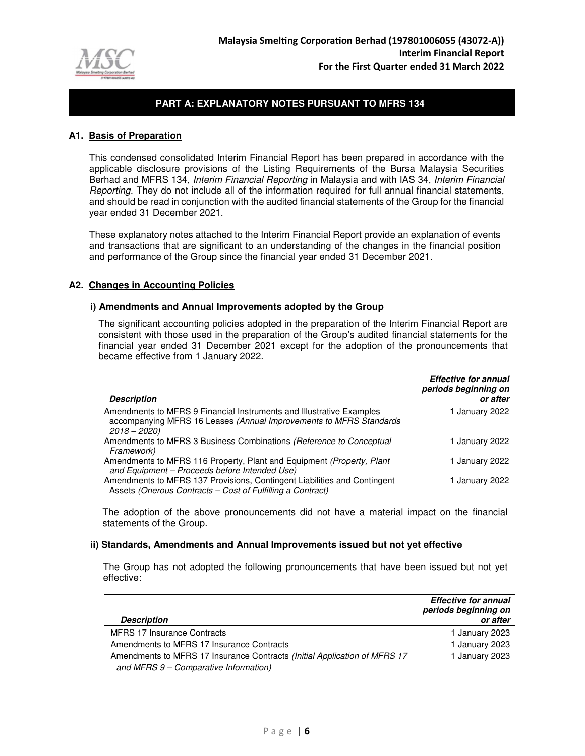

#### **A1. Basis of Preparation**

This condensed consolidated Interim Financial Report has been prepared in accordance with the applicable disclosure provisions of the Listing Requirements of the Bursa Malaysia Securities Berhad and MFRS 134, Interim Financial Reporting in Malaysia and with IAS 34, Interim Financial Reporting. They do not include all of the information required for full annual financial statements, and should be read in conjunction with the audited financial statements of the Group for the financial year ended 31 December 2021.

These explanatory notes attached to the Interim Financial Report provide an explanation of events and transactions that are significant to an understanding of the changes in the financial position and performance of the Group since the financial year ended 31 December 2021.

#### **A2. Changes in Accounting Policies**

#### **i) Amendments and Annual Improvements adopted by the Group**

The significant accounting policies adopted in the preparation of the Interim Financial Report are consistent with those used in the preparation of the Group's audited financial statements for the financial year ended 31 December 2021 except for the adoption of the pronouncements that became effective from 1 January 2022.

| <b>Description</b>                                                                                                                                          | <b>Effective for annual</b><br>periods beginning on<br>or after |
|-------------------------------------------------------------------------------------------------------------------------------------------------------------|-----------------------------------------------------------------|
| Amendments to MFRS 9 Financial Instruments and Illustrative Examples<br>accompanying MFRS 16 Leases (Annual Improvements to MFRS Standards<br>$2018 - 2020$ | 1 January 2022                                                  |
| Amendments to MFRS 3 Business Combinations (Reference to Conceptual<br>Framework)                                                                           | 1 January 2022                                                  |
| Amendments to MFRS 116 Property, Plant and Equipment (Property, Plant<br>and Equipment - Proceeds before Intended Use)                                      | 1 January 2022                                                  |
| Amendments to MFRS 137 Provisions, Contingent Liabilities and Contingent<br>Assets (Onerous Contracts - Cost of Fulfilling a Contract)                      | 1 January 2022                                                  |

The adoption of the above pronouncements did not have a material impact on the financial statements of the Group.

#### **ii) Standards, Amendments and Annual Improvements issued but not yet effective**

 The Group has not adopted the following pronouncements that have been issued but not yet effective:

|                                                                           | <b>Effective for annual</b> |
|---------------------------------------------------------------------------|-----------------------------|
|                                                                           | periods beginning on        |
| <b>Description</b>                                                        | or after                    |
| <b>MFRS 17 Insurance Contracts</b>                                        | 1 January 2023              |
| Amendments to MFRS 17 Insurance Contracts                                 | 1 January 2023              |
| Amendments to MFRS 17 Insurance Contracts (Initial Application of MFRS 17 | 1 January 2023              |
| and MFRS 9 - Comparative Information)                                     |                             |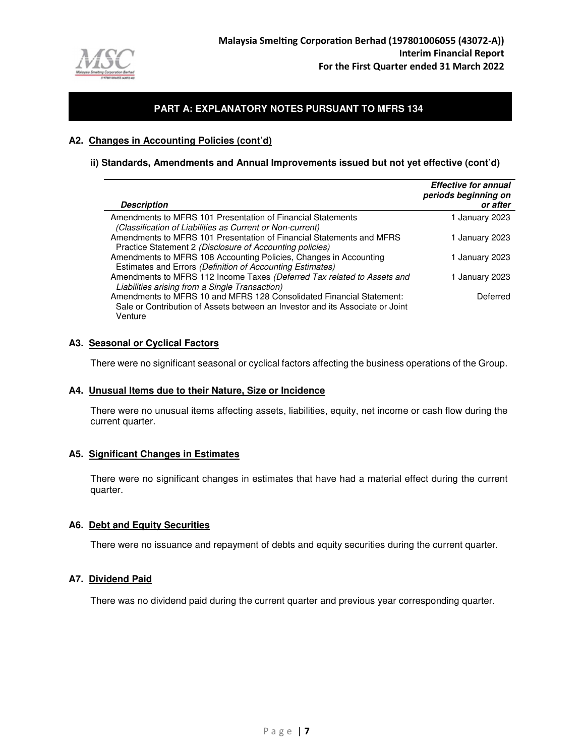

#### **A2. Changes in Accounting Policies (cont'd)**

#### **ii) Standards, Amendments and Annual Improvements issued but not yet effective (cont'd)**

| <b>Description</b>                                                                                                                                               | <b>Effective for annual</b><br>periods beginning on<br>or after |
|------------------------------------------------------------------------------------------------------------------------------------------------------------------|-----------------------------------------------------------------|
| Amendments to MFRS 101 Presentation of Financial Statements<br>(Classification of Liabilities as Current or Non-current)                                         | 1 January 2023                                                  |
| Amendments to MFRS 101 Presentation of Financial Statements and MFRS<br>Practice Statement 2 (Disclosure of Accounting policies)                                 | 1 January 2023                                                  |
| Amendments to MFRS 108 Accounting Policies, Changes in Accounting<br>Estimates and Errors (Definition of Accounting Estimates)                                   | 1 January 2023                                                  |
| Amendments to MFRS 112 Income Taxes (Deferred Tax related to Assets and<br>Liabilities arising from a Single Transaction)                                        | 1 January 2023                                                  |
| Amendments to MFRS 10 and MFRS 128 Consolidated Financial Statement:<br>Sale or Contribution of Assets between an Investor and its Associate or Joint<br>Venture | Deferred                                                        |

#### **A3. Seasonal or Cyclical Factors**

There were no significant seasonal or cyclical factors affecting the business operations of the Group.

#### **A4. Unusual Items due to their Nature, Size or Incidence**

There were no unusual items affecting assets, liabilities, equity, net income or cash flow during the current quarter.

#### **A5. Significant Changes in Estimates**

There were no significant changes in estimates that have had a material effect during the current quarter.

### **A6. Debt and Equity Securities**

There were no issuance and repayment of debts and equity securities during the current quarter.

#### **A7. Dividend Paid**

There was no dividend paid during the current quarter and previous year corresponding quarter.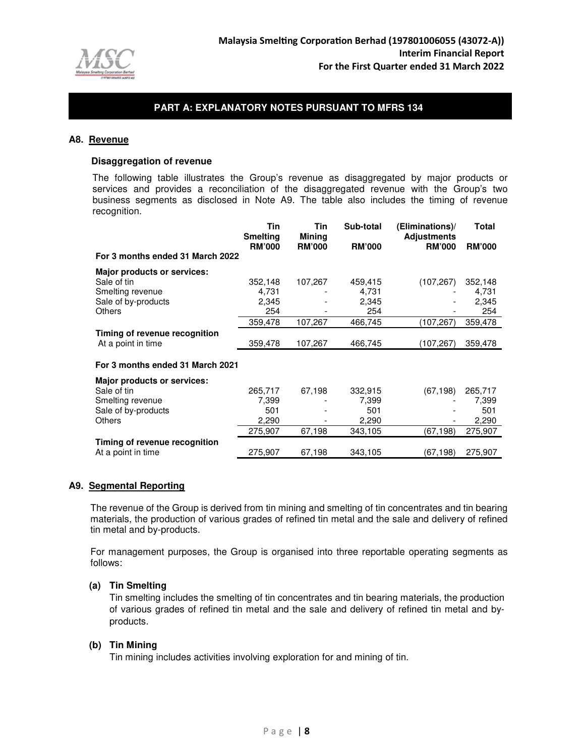

#### **A8. Revenue**

#### **Disaggregation of revenue**

 The following table illustrates the Group's revenue as disaggregated by major products or services and provides a reconciliation of the disaggregated revenue with the Group's two business segments as disclosed in Note A9. The table also includes the timing of revenue recognition.

|                                    | Tin<br><b>Smelting</b> | Tin<br><b>Mining</b>     | Sub-total     | (Eliminations)/<br><b>Adjustments</b> | Total         |
|------------------------------------|------------------------|--------------------------|---------------|---------------------------------------|---------------|
|                                    | <b>RM'000</b>          | <b>RM'000</b>            | <b>RM'000</b> | <b>RM'000</b>                         | <b>RM'000</b> |
| For 3 months ended 31 March 2022   |                        |                          |               |                                       |               |
| Major products or services:        |                        |                          |               |                                       |               |
| Sale of tin                        | 352,148                | 107,267                  | 459,415       | (107, 267)                            | 352,148       |
| Smelting revenue                   | 4,731                  |                          | 4,731         |                                       | 4,731         |
| Sale of by-products                | 2,345                  |                          | 2,345         |                                       | 2,345         |
| <b>Others</b>                      | 254                    |                          | 254           |                                       | 254           |
|                                    | 359,478                | 107,267                  | 466,745       | (107,267)                             | 359,478       |
| Timing of revenue recognition      |                        |                          |               |                                       |               |
| At a point in time                 | 359,478                | 107,267                  | 466,745       | (107, 267)                            | 359,478       |
| For 3 months ended 31 March 2021   |                        |                          |               |                                       |               |
| <b>Major products or services:</b> |                        |                          |               |                                       |               |
| Sale of tin                        | 265,717                | 67,198                   | 332,915       | (67, 198)                             | 265,717       |
| Smelting revenue                   | 7,399                  |                          | 7,399         |                                       | 7,399         |
| Sale of by-products                | 501                    |                          | 501           |                                       | 501           |
| Others                             | 2,290                  | $\overline{\phantom{a}}$ | 2,290         |                                       | 2,290         |
|                                    | 275,907                | 67,198                   | 343,105       | (67, 198)                             | 275,907       |
| Timing of revenue recognition      |                        |                          |               |                                       |               |
| At a point in time                 | 275,907                | 67,198                   | 343,105       | (67,198)                              | 275,907       |

#### **A9. Segmental Reporting**

The revenue of the Group is derived from tin mining and smelting of tin concentrates and tin bearing materials, the production of various grades of refined tin metal and the sale and delivery of refined tin metal and by-products.

For management purposes, the Group is organised into three reportable operating segments as follows:

#### **(a) Tin Smelting**

Tin smelting includes the smelting of tin concentrates and tin bearing materials, the production of various grades of refined tin metal and the sale and delivery of refined tin metal and byproducts.

#### **(b) Tin Mining**

Tin mining includes activities involving exploration for and mining of tin.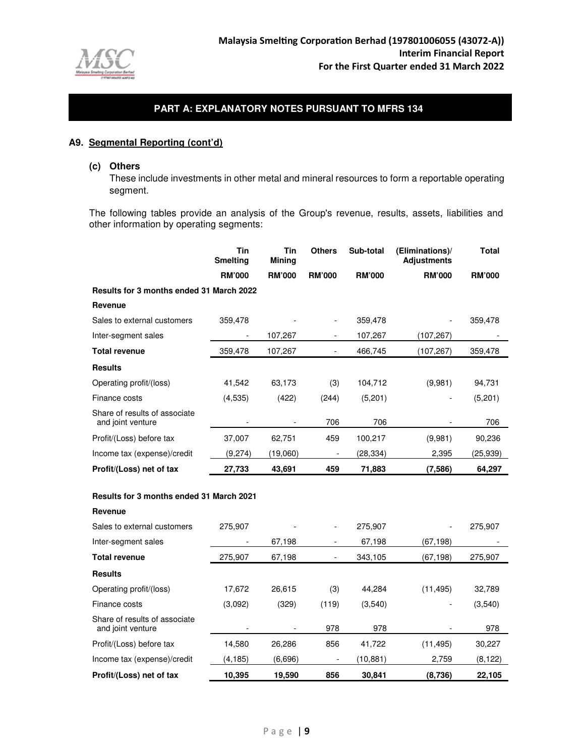

## **A9. Segmental Reporting (cont'd)**

#### **(c) Others**

These include investments in other metal and mineral resources to form a reportable operating segment.

The following tables provide an analysis of the Group's revenue, results, assets, liabilities and other information by operating segments:

|                                                    | Tin<br><b>Smelting</b> | Tin<br>Mining | <b>Others</b>            | Sub-total     | (Eliminations)/<br><b>Adjustments</b> | Total         |
|----------------------------------------------------|------------------------|---------------|--------------------------|---------------|---------------------------------------|---------------|
|                                                    | <b>RM'000</b>          | <b>RM'000</b> | <b>RM'000</b>            | <b>RM'000</b> | <b>RM'000</b>                         | <b>RM'000</b> |
| <b>Results for 3 months ended 31 March 2022</b>    |                        |               |                          |               |                                       |               |
| Revenue                                            |                        |               |                          |               |                                       |               |
| Sales to external customers                        | 359,478                |               |                          | 359,478       | ۰                                     | 359,478       |
| Inter-segment sales                                |                        | 107,267       |                          | 107,267       | (107,267)                             |               |
| <b>Total revenue</b>                               | 359,478                | 107,267       | ۰.                       | 466,745       | (107,267)                             | 359,478       |
| <b>Results</b>                                     |                        |               |                          |               |                                       |               |
| Operating profit/(loss)                            | 41,542                 | 63,173        | (3)                      | 104,712       | (9,981)                               | 94,731        |
| Finance costs                                      | (4,535)                | (422)         | (244)                    | (5,201)       | -                                     | (5,201)       |
| Share of results of associate<br>and joint venture |                        |               | 706                      | 706           |                                       | 706           |
| Profit/(Loss) before tax                           | 37,007                 | 62,751        | 459                      | 100,217       | (9,981)                               | 90,236        |
| Income tax (expense)/credit                        | (9,274)                | (19,060)      | $\overline{\phantom{a}}$ | (28,334)      | 2,395                                 | (25,939)      |
| Profit/(Loss) net of tax                           | 27,733                 | 43,691        | 459                      | 71,883        | (7,586)                               | 64,297        |

#### **Results for 3 months ended 31 March 2021**

| Revenue |
|---------|
|---------|

| Sales to external customers                        | 275.907  |         | $\overline{\phantom{a}}$ | 275.907  |           | 275,907  |
|----------------------------------------------------|----------|---------|--------------------------|----------|-----------|----------|
| Inter-segment sales                                |          | 67,198  |                          | 67,198   | (67,198)  |          |
| <b>Total revenue</b>                               | 275,907  | 67,198  |                          | 343,105  | (67, 198) | 275,907  |
| <b>Results</b>                                     |          |         |                          |          |           |          |
| Operating profit/(loss)                            | 17,672   | 26,615  | (3)                      | 44,284   | (11, 495) | 32,789   |
| Finance costs                                      | (3,092)  | (329)   | (119)                    | (3,540)  |           | (3,540)  |
| Share of results of associate<br>and joint venture |          |         | 978                      | 978      |           | 978      |
| Profit/(Loss) before tax                           | 14,580   | 26,286  | 856                      | 41,722   | (11, 495) | 30,227   |
| Income tax (expense)/credit                        | (4, 185) | (6,696) | -                        | (10,881) | 2,759     | (8, 122) |
| Profit/(Loss) net of tax                           | 10,395   | 19,590  | 856                      | 30,841   | (8,736)   | 22,105   |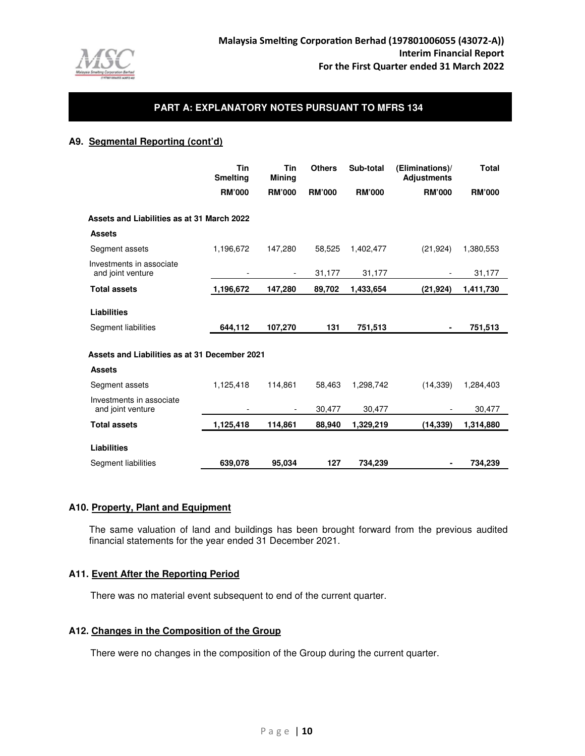

### **A9. Segmental Reporting (cont'd)**

|                                               | Tin<br><b>Smelting</b> | Tin<br><b>Mining</b> | <b>Others</b> | Sub-total     | (Eliminations)/<br><b>Adjustments</b> | <b>Total</b>  |
|-----------------------------------------------|------------------------|----------------------|---------------|---------------|---------------------------------------|---------------|
|                                               | <b>RM'000</b>          | <b>RM'000</b>        | <b>RM'000</b> | <b>RM'000</b> | <b>RM'000</b>                         | <b>RM'000</b> |
| Assets and Liabilities as at 31 March 2022    |                        |                      |               |               |                                       |               |
| <b>Assets</b>                                 |                        |                      |               |               |                                       |               |
| Segment assets                                | 1,196,672              | 147.280              | 58.525        | 1,402,477     | (21, 924)                             | 1,380,553     |
| Investments in associate<br>and joint venture |                        |                      | 31,177        | 31,177        |                                       | 31,177        |
| <b>Total assets</b>                           | 1,196,672              | 147,280              | 89,702        | 1,433,654     | (21, 924)                             | 1,411,730     |
| <b>Liabilities</b><br>Segment liabilities     | 644,112                | 107,270              | 131           | 751,513       | ٠                                     | 751,513       |
| Assets and Liabilities as at 31 December 2021 |                        |                      |               |               |                                       |               |
| <b>Assets</b>                                 |                        |                      |               |               |                                       |               |
| Segment assets                                | 1,125,418              | 114,861              | 58,463        | 1,298,742     | (14, 339)                             | 1,284,403     |
| Investments in associate<br>and joint venture |                        |                      | 30,477        | 30,477        |                                       | 30,477        |
| <b>Total assets</b>                           | 1,125,418              | 114,861              | 88,940        | 1,329,219     | (14, 339)                             | 1,314,880     |
| <b>Liabilities</b>                            |                        |                      |               |               |                                       |               |
| Segment liabilities                           | 639,078                | 95.034               | 127           | 734.239       | ۰                                     | 734.239       |

#### **A10. Property, Plant and Equipment**

The same valuation of land and buildings has been brought forward from the previous audited financial statements for the year ended 31 December 2021.

### **A11. Event After the Reporting Period**

There was no material event subsequent to end of the current quarter.

#### **A12. Changes in the Composition of the Group**

There were no changes in the composition of the Group during the current quarter.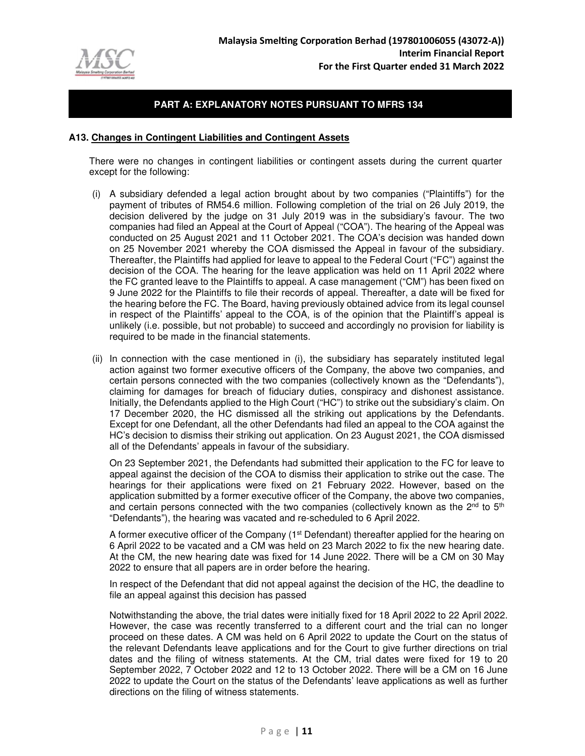

#### **A13. Changes in Contingent Liabilities and Contingent Assets**

There were no changes in contingent liabilities or contingent assets during the current quarter except for the following:

- (i) A subsidiary defended a legal action brought about by two companies ("Plaintiffs") for the payment of tributes of RM54.6 million. Following completion of the trial on 26 July 2019, the decision delivered by the judge on 31 July 2019 was in the subsidiary's favour. The two companies had filed an Appeal at the Court of Appeal ("COA"). The hearing of the Appeal was conducted on 25 August 2021 and 11 October 2021. The COA's decision was handed down on 25 November 2021 whereby the COA dismissed the Appeal in favour of the subsidiary. Thereafter, the Plaintiffs had applied for leave to appeal to the Federal Court ("FC") against the decision of the COA. The hearing for the leave application was held on 11 April 2022 where the FC granted leave to the Plaintiffs to appeal. A case management ("CM") has been fixed on 9 June 2022 for the Plaintiffs to file their records of appeal. Thereafter, a date will be fixed for the hearing before the FC. The Board, having previously obtained advice from its legal counsel in respect of the Plaintiffs' appeal to the COA, is of the opinion that the Plaintiff's appeal is unlikely (i.e. possible, but not probable) to succeed and accordingly no provision for liability is required to be made in the financial statements.
- (ii) In connection with the case mentioned in (i), the subsidiary has separately instituted legal action against two former executive officers of the Company, the above two companies, and certain persons connected with the two companies (collectively known as the "Defendants"), claiming for damages for breach of fiduciary duties, conspiracy and dishonest assistance. Initially, the Defendants applied to the High Court ("HC") to strike out the subsidiary's claim. On 17 December 2020, the HC dismissed all the striking out applications by the Defendants. Except for one Defendant, all the other Defendants had filed an appeal to the COA against the HC's decision to dismiss their striking out application. On 23 August 2021, the COA dismissed all of the Defendants' appeals in favour of the subsidiary.

On 23 September 2021, the Defendants had submitted their application to the FC for leave to appeal against the decision of the COA to dismiss their application to strike out the case. The hearings for their applications were fixed on 21 February 2022. However, based on the application submitted by a former executive officer of the Company, the above two companies, and certain persons connected with the two companies (collectively known as the  $2<sup>nd</sup>$  to  $5<sup>th</sup>$ "Defendants"), the hearing was vacated and re-scheduled to 6 April 2022.

A former executive officer of the Company (1<sup>st</sup> Defendant) thereafter applied for the hearing on 6 April 2022 to be vacated and a CM was held on 23 March 2022 to fix the new hearing date. At the CM, the new hearing date was fixed for 14 June 2022. There will be a CM on 30 May 2022 to ensure that all papers are in order before the hearing.

In respect of the Defendant that did not appeal against the decision of the HC, the deadline to file an appeal against this decision has passed

Notwithstanding the above, the trial dates were initially fixed for 18 April 2022 to 22 April 2022. However, the case was recently transferred to a different court and the trial can no longer proceed on these dates. A CM was held on 6 April 2022 to update the Court on the status of the relevant Defendants leave applications and for the Court to give further directions on trial dates and the filing of witness statements. At the CM, trial dates were fixed for 19 to 20 September 2022, 7 October 2022 and 12 to 13 October 2022. There will be a CM on 16 June 2022 to update the Court on the status of the Defendants' leave applications as well as further directions on the filing of witness statements.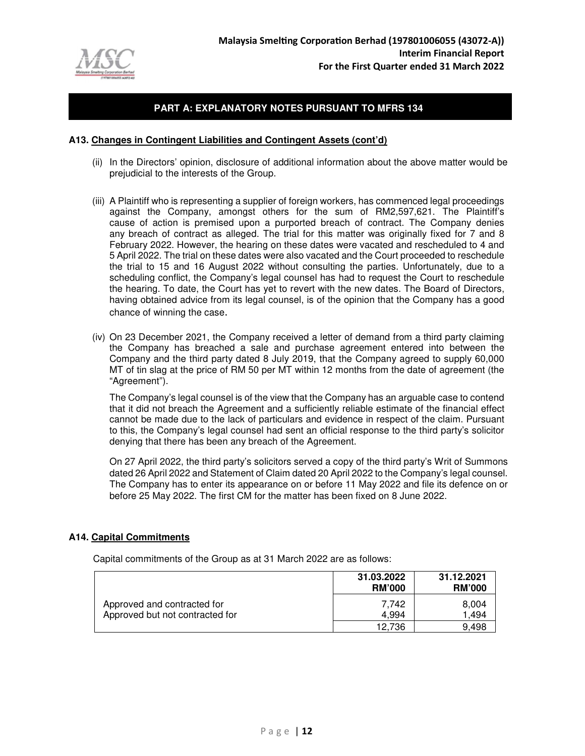

#### **A13. Changes in Contingent Liabilities and Contingent Assets (cont'd)**

- (ii) In the Directors' opinion, disclosure of additional information about the above matter would be prejudicial to the interests of the Group.
- (iii) A Plaintiff who is representing a supplier of foreign workers, has commenced legal proceedings against the Company, amongst others for the sum of RM2,597,621. The Plaintiff's cause of action is premised upon a purported breach of contract. The Company denies any breach of contract as alleged. The trial for this matter was originally fixed for 7 and 8 February 2022. However, the hearing on these dates were vacated and rescheduled to 4 and 5 April 2022. The trial on these dates were also vacated and the Court proceeded to reschedule the trial to 15 and 16 August 2022 without consulting the parties. Unfortunately, due to a scheduling conflict, the Company's legal counsel has had to request the Court to reschedule the hearing. To date, the Court has yet to revert with the new dates. The Board of Directors, having obtained advice from its legal counsel, is of the opinion that the Company has a good chance of winning the case.
- (iv) On 23 December 2021, the Company received a letter of demand from a third party claiming the Company has breached a sale and purchase agreement entered into between the Company and the third party dated 8 July 2019, that the Company agreed to supply 60,000 MT of tin slag at the price of RM 50 per MT within 12 months from the date of agreement (the "Agreement").

The Company's legal counsel is of the view that the Company has an arguable case to contend that it did not breach the Agreement and a sufficiently reliable estimate of the financial effect cannot be made due to the lack of particulars and evidence in respect of the claim. Pursuant to this, the Company's legal counsel had sent an official response to the third party's solicitor denying that there has been any breach of the Agreement.

On 27 April 2022, the third party's solicitors served a copy of the third party's Writ of Summons dated 26 April 2022 and Statement of Claim dated 20 April 2022 to the Company's legal counsel. The Company has to enter its appearance on or before 11 May 2022 and file its defence on or before 25 May 2022. The first CM for the matter has been fixed on 8 June 2022.

#### **A14. Capital Commitments**

Capital commitments of the Group as at 31 March 2022 are as follows:

|                                                                | 31.03.2022<br><b>RM'000</b> | 31.12.2021<br><b>RM'000</b> |
|----------------------------------------------------------------|-----------------------------|-----------------------------|
| Approved and contracted for<br>Approved but not contracted for | 7.742<br>4.994              | 8,004<br>1.494              |
|                                                                | 12.736                      | 9.498                       |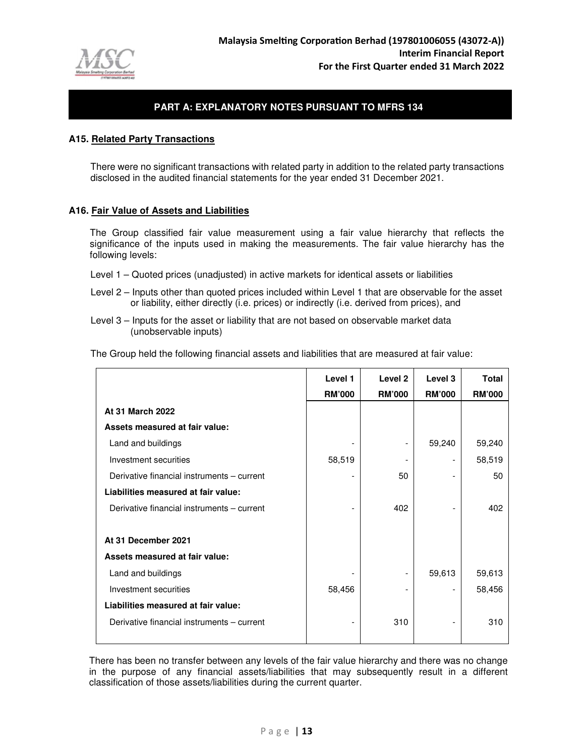

#### **A15. Related Party Transactions**

There were no significant transactions with related party in addition to the related party transactions disclosed in the audited financial statements for the year ended 31 December 2021.

#### **A16. Fair Value of Assets and Liabilities**

 The Group classified fair value measurement using a fair value hierarchy that reflects the significance of the inputs used in making the measurements. The fair value hierarchy has the following levels:

- Level 1 Quoted prices (unadjusted) in active markets for identical assets or liabilities
- Level 2 Inputs other than quoted prices included within Level 1 that are observable for the asset or liability, either directly (i.e. prices) or indirectly (i.e. derived from prices), and
- Level 3 Inputs for the asset or liability that are not based on observable market data (unobservable inputs)

The Group held the following financial assets and liabilities that are measured at fair value:

|                                            | Level 1                  | Level <sub>2</sub> | Level 3       | Total         |
|--------------------------------------------|--------------------------|--------------------|---------------|---------------|
|                                            | <b>RM'000</b>            | <b>RM'000</b>      | <b>RM'000</b> | <b>RM'000</b> |
| At 31 March 2022                           |                          |                    |               |               |
| Assets measured at fair value:             |                          |                    |               |               |
| Land and buildings                         |                          | -                  | 59,240        | 59,240        |
| Investment securities                      | 58,519                   |                    |               | 58,519        |
| Derivative financial instruments - current | $\overline{\phantom{a}}$ | 50                 |               | 50            |
| Liabilities measured at fair value:        |                          |                    |               |               |
| Derivative financial instruments - current |                          | 402                |               | 402           |
|                                            |                          |                    |               |               |
| At 31 December 2021                        |                          |                    |               |               |
| Assets measured at fair value:             |                          |                    |               |               |
| Land and buildings                         |                          | -                  | 59,613        | 59,613        |
| Investment securities                      | 58,456                   | -                  |               | 58,456        |
| Liabilities measured at fair value:        |                          |                    |               |               |
| Derivative financial instruments – current |                          | 310                |               | 310           |
|                                            |                          |                    |               |               |

There has been no transfer between any levels of the fair value hierarchy and there was no change in the purpose of any financial assets/liabilities that may subsequently result in a different classification of those assets/liabilities during the current quarter.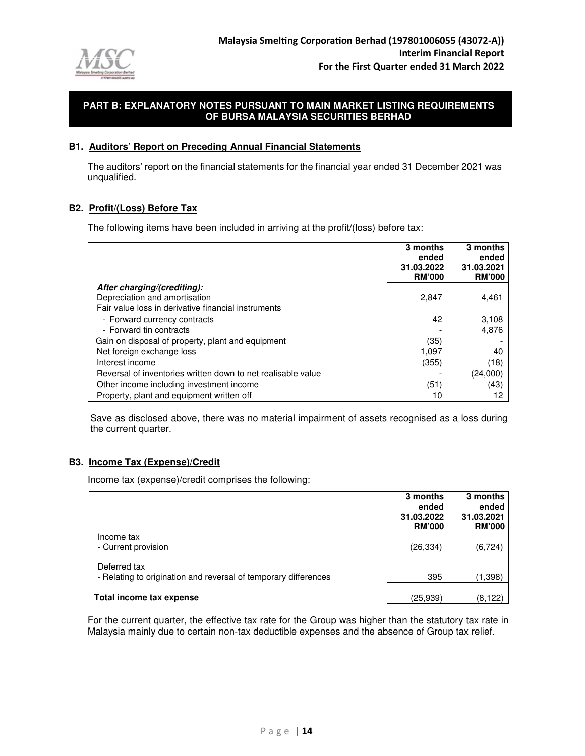

#### **B1. Auditors' Report on Preceding Annual Financial Statements**

The auditors' report on the financial statements for the financial year ended 31 December 2021 was unqualified.

## **B2. Profit/(Loss) Before Tax**

The following items have been included in arriving at the profit/(loss) before tax:

|                                                              | 3 months<br>ended<br>31.03.2022<br><b>RM'000</b> | 3 months<br>ended<br>31.03.2021<br><b>RM'000</b> |
|--------------------------------------------------------------|--------------------------------------------------|--------------------------------------------------|
| After charging/(crediting):                                  |                                                  |                                                  |
| Depreciation and amortisation                                | 2,847                                            | 4,461                                            |
| Fair value loss in derivative financial instruments          |                                                  |                                                  |
| - Forward currency contracts                                 | 42                                               | 3,108                                            |
| - Forward tin contracts                                      |                                                  | 4,876                                            |
| Gain on disposal of property, plant and equipment            | (35)                                             |                                                  |
| Net foreign exchange loss                                    | 1,097                                            | 40                                               |
| Interest income                                              | (355)                                            | (18)                                             |
| Reversal of inventories written down to net realisable value |                                                  | (24,000)                                         |
| Other income including investment income                     | (51)                                             | (43)                                             |
| Property, plant and equipment written off                    | 10                                               |                                                  |

Save as disclosed above, there was no material impairment of assets recognised as a loss during the current quarter.

## **B3. Income Tax (Expense)/Credit**

Income tax (expense)/credit comprises the following:

|                                                                 | 3 months                    | 3 months                    |
|-----------------------------------------------------------------|-----------------------------|-----------------------------|
|                                                                 | ended                       | ended                       |
|                                                                 | 31.03.2022<br><b>RM'000</b> | 31.03.2021<br><b>RM'000</b> |
| Income tax                                                      |                             |                             |
| - Current provision                                             | (26, 334)                   | (6, 724)                    |
| Deferred tax                                                    |                             |                             |
| - Relating to origination and reversal of temporary differences | 395                         | (1,398)                     |
|                                                                 |                             |                             |
| Total income tax expense                                        | (25,939)                    | (8, 122)                    |

For the current quarter, the effective tax rate for the Group was higher than the statutory tax rate in Malaysia mainly due to certain non-tax deductible expenses and the absence of Group tax relief.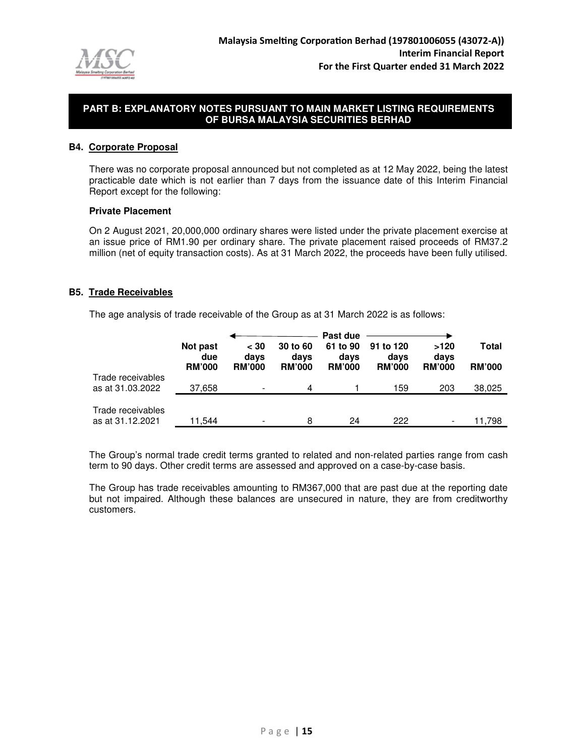

## **B4. Corporate Proposal**

There was no corporate proposal announced but not completed as at 12 May 2022, being the latest practicable date which is not earlier than 7 days from the issuance date of this Interim Financial Report except for the following:

#### **Private Placement**

On 2 August 2021, 20,000,000 ordinary shares were listed under the private placement exercise at an issue price of RM1.90 per ordinary share. The private placement raised proceeds of RM37.2 million (net of equity transaction costs). As at 31 March 2022, the proceeds have been fully utilised.

#### **B5. Trade Receivables**

The age analysis of trade receivable of the Group as at 31 March 2022 is as follows:

|                                       | Not past<br>due<br><b>RM'000</b> | $<$ 30<br>days<br><b>RM'000</b> | 30 to 60<br>days<br><b>RM'000</b> | Past due<br>61 to 90<br>days<br><b>RM'000</b> | 91 to 120<br>days<br><b>RM'000</b> | >120<br>days<br><b>RM'000</b> | Total<br><b>RM'000</b> |
|---------------------------------------|----------------------------------|---------------------------------|-----------------------------------|-----------------------------------------------|------------------------------------|-------------------------------|------------------------|
| Trade receivables<br>as at 31.03.2022 | 37,658                           | $\overline{\phantom{0}}$        | 4                                 |                                               | 159                                | 203                           | 38,025                 |
| Trade receivables<br>as at 31.12.2021 | 11,544                           |                                 | 8                                 | 24                                            | 222                                |                               | 11,798                 |

The Group's normal trade credit terms granted to related and non-related parties range from cash term to 90 days. Other credit terms are assessed and approved on a case-by-case basis.

The Group has trade receivables amounting to RM367,000 that are past due at the reporting date but not impaired. Although these balances are unsecured in nature, they are from creditworthy customers.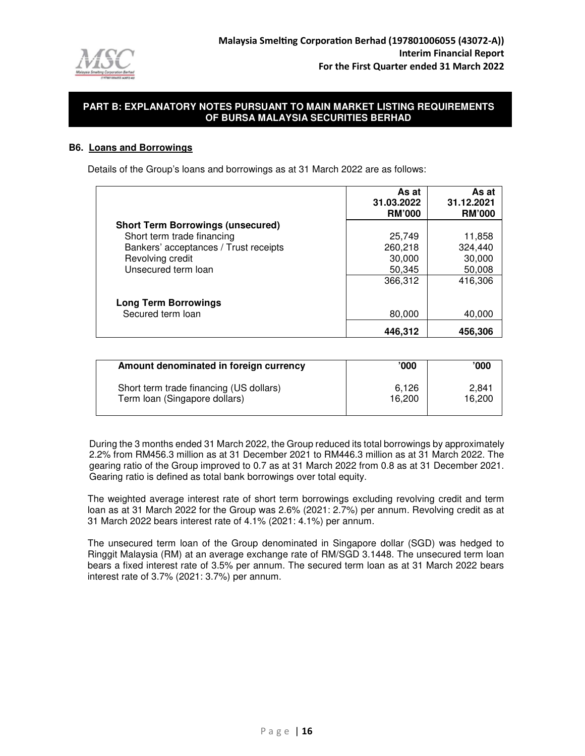

### **B6. Loans and Borrowings**

Details of the Group's loans and borrowings as at 31 March 2022 are as follows:

|                                          | As at<br>31.03.2022<br><b>RM'000</b> | As at<br>31.12.2021<br><b>RM'000</b> |
|------------------------------------------|--------------------------------------|--------------------------------------|
| <b>Short Term Borrowings (unsecured)</b> |                                      |                                      |
| Short term trade financing               | 25,749                               | 11,858                               |
| Bankers' acceptances / Trust receipts    | 260,218                              | 324,440                              |
| Revolving credit                         | 30,000                               | 30,000                               |
| Unsecured term loan                      | 50,345                               | 50,008                               |
|                                          | 366,312                              | 416,306                              |
| <b>Long Term Borrowings</b>              |                                      |                                      |
| Secured term loan                        | 80,000                               | 40,000                               |
|                                          | 446.312                              | 456,306                              |

| Amount denominated in foreign currency  | '000   | '000'  |
|-----------------------------------------|--------|--------|
| Short term trade financing (US dollars) | 6.126  | 2.841  |
| Term loan (Singapore dollars)           | 16.200 | 16,200 |

During the 3 months ended 31 March 2022, the Group reduced its total borrowings by approximately 2.2% from RM456.3 million as at 31 December 2021 to RM446.3 million as at 31 March 2022. The gearing ratio of the Group improved to 0.7 as at 31 March 2022 from 0.8 as at 31 December 2021. Gearing ratio is defined as total bank borrowings over total equity.

The weighted average interest rate of short term borrowings excluding revolving credit and term loan as at 31 March 2022 for the Group was 2.6% (2021: 2.7%) per annum. Revolving credit as at 31 March 2022 bears interest rate of 4.1% (2021: 4.1%) per annum.

The unsecured term loan of the Group denominated in Singapore dollar (SGD) was hedged to Ringgit Malaysia (RM) at an average exchange rate of RM/SGD 3.1448. The unsecured term loan bears a fixed interest rate of 3.5% per annum. The secured term loan as at 31 March 2022 bears interest rate of 3.7% (2021: 3.7%) per annum.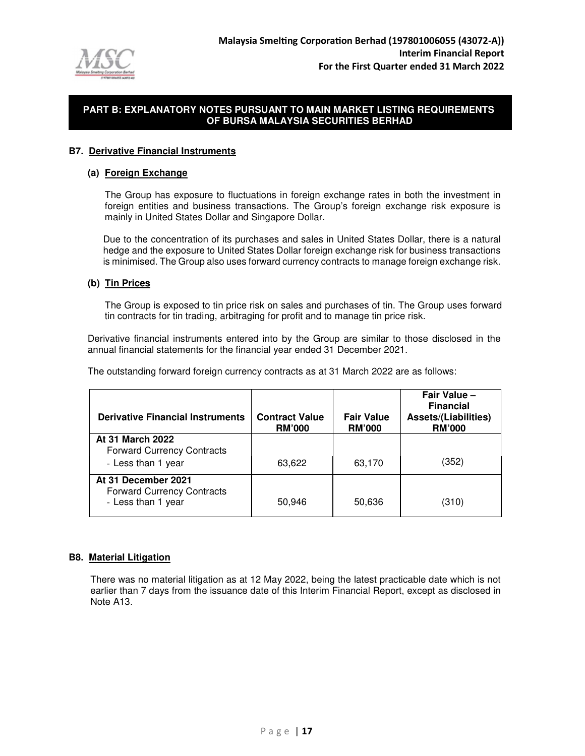

#### **B7. Derivative Financial Instruments**

#### **(a) Foreign Exchange**

The Group has exposure to fluctuations in foreign exchange rates in both the investment in foreign entities and business transactions. The Group's foreign exchange risk exposure is mainly in United States Dollar and Singapore Dollar.

Due to the concentration of its purchases and sales in United States Dollar, there is a natural hedge and the exposure to United States Dollar foreign exchange risk for business transactions is minimised. The Group also uses forward currency contracts to manage foreign exchange risk.

### **(b) Tin Prices**

The Group is exposed to tin price risk on sales and purchases of tin. The Group uses forward tin contracts for tin trading, arbitraging for profit and to manage tin price risk.

Derivative financial instruments entered into by the Group are similar to those disclosed in the annual financial statements for the financial year ended 31 December 2021.

The outstanding forward foreign currency contracts as at 31 March 2022 are as follows:

| <b>Derivative Financial Instruments</b>                  | <b>Contract Value</b><br><b>RM'000</b> | <b>Fair Value</b><br><b>RM'000</b> | Fair Value -<br><b>Financial</b><br><b>Assets/(Liabilities)</b><br><b>RM'000</b> |
|----------------------------------------------------------|----------------------------------------|------------------------------------|----------------------------------------------------------------------------------|
| At 31 March 2022<br><b>Forward Currency Contracts</b>    |                                        |                                    |                                                                                  |
| - Less than 1 year                                       | 63,622                                 | 63,170                             | (352)                                                                            |
| At 31 December 2021<br><b>Forward Currency Contracts</b> |                                        |                                    |                                                                                  |
| - Less than 1 year                                       | 50,946                                 | 50,636                             | (310)                                                                            |

#### **B8. Material Litigation**

There was no material litigation as at 12 May 2022, being the latest practicable date which is not earlier than 7 days from the issuance date of this Interim Financial Report, except as disclosed in Note A13.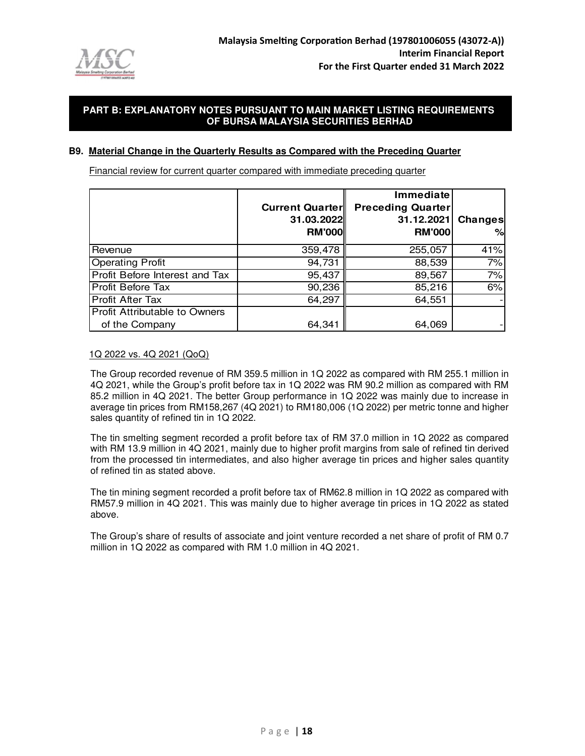

#### **B9. Material Change in the Quarterly Results as Compared with the Preceding Quarter**

Financial review for current quarter compared with immediate preceding quarter

|                                      |                        | Immediate                |         |
|--------------------------------------|------------------------|--------------------------|---------|
|                                      | <b>Current Quarter</b> | <b>Preceding Quarter</b> |         |
|                                      | 31.03.2022             | 31.12.2021               | Changes |
|                                      | <b>RM'000</b>          | <b>RM'000</b>            | %       |
| Revenue                              | 359,478                | 255,057                  | 41%     |
| <b>Operating Profit</b>              | 94,731                 | 88,539                   | 7%      |
| Profit Before Interest and Tax       | 95,437                 | 89,567                   | 7%      |
| Profit Before Tax                    | 90,236                 | 85,216                   | 6%      |
| Profit After Tax                     | 64,297                 | 64,551                   |         |
| <b>Profit Attributable to Owners</b> |                        |                          |         |
| of the Company                       | 64,341                 | 64,069                   |         |

#### 1Q 2022 vs. 4Q 2021 (QoQ)

The Group recorded revenue of RM 359.5 million in 1Q 2022 as compared with RM 255.1 million in 4Q 2021, while the Group's profit before tax in 1Q 2022 was RM 90.2 million as compared with RM 85.2 million in 4Q 2021. The better Group performance in 1Q 2022 was mainly due to increase in average tin prices from RM158,267 (4Q 2021) to RM180,006 (1Q 2022) per metric tonne and higher sales quantity of refined tin in 1Q 2022.

The tin smelting segment recorded a profit before tax of RM 37.0 million in 1Q 2022 as compared with RM 13.9 million in 4Q 2021, mainly due to higher profit margins from sale of refined tin derived from the processed tin intermediates, and also higher average tin prices and higher sales quantity of refined tin as stated above.

The tin mining segment recorded a profit before tax of RM62.8 million in 1Q 2022 as compared with RM57.9 million in 4Q 2021. This was mainly due to higher average tin prices in 1Q 2022 as stated above.

The Group's share of results of associate and joint venture recorded a net share of profit of RM 0.7 million in 1Q 2022 as compared with RM 1.0 million in 4Q 2021.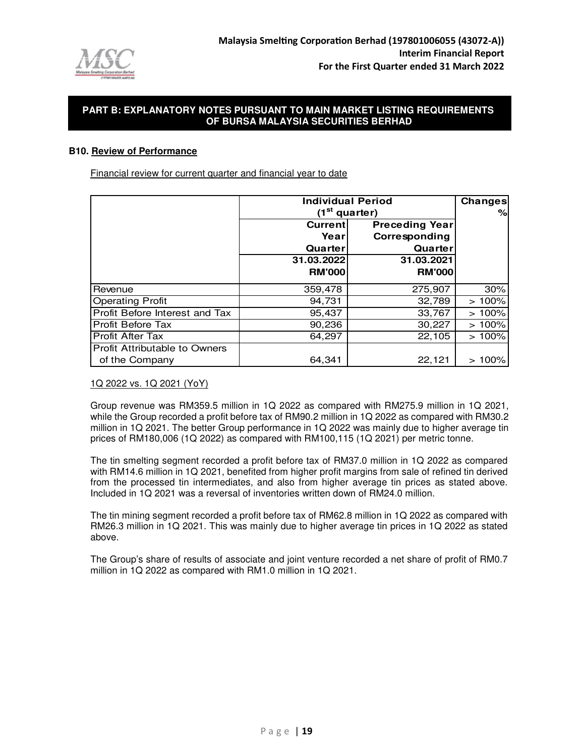

#### **B10. Review of Performance**

Financial review for current quarter and financial year to date

|                                      | <b>Individual Period</b> | Changes               |       |
|--------------------------------------|--------------------------|-----------------------|-------|
|                                      |                          | $(1st$ quarter)       | %     |
|                                      | Current                  | <b>Preceding Year</b> |       |
|                                      | Yearl                    | Corresponding         |       |
|                                      | Quarter                  | Quarter               |       |
|                                      | 31.03.2022               | 31.03.2021            |       |
|                                      | <b>RM'000</b>            | <b>RM'000</b>         |       |
| Revenue                              | 359,478                  | 275,907               | 30%   |
| <b>Operating Profit</b>              | 94,731                   | 32,789                | >100% |
| Profit Before Interest and Tax       | 95,437                   | 33,767                | >100% |
| <b>Profit Before Tax</b>             | 90,236                   | 30,227                | >100% |
| Profit After Tax                     | 64,297                   | 22,105                | >100% |
| <b>Profit Attributable to Owners</b> |                          |                       |       |
| of the Company                       | 64,341                   | 22,121                | 100%  |

#### 1Q 2022 vs. 1Q 2021 (YoY)

Group revenue was RM359.5 million in 1Q 2022 as compared with RM275.9 million in 1Q 2021, while the Group recorded a profit before tax of RM90.2 million in 1Q 2022 as compared with RM30.2 million in 1Q 2021. The better Group performance in 1Q 2022 was mainly due to higher average tin prices of RM180,006 (1Q 2022) as compared with RM100,115 (1Q 2021) per metric tonne.

The tin smelting segment recorded a profit before tax of RM37.0 million in 1Q 2022 as compared with RM14.6 million in 1Q 2021, benefited from higher profit margins from sale of refined tin derived from the processed tin intermediates, and also from higher average tin prices as stated above. Included in 1Q 2021 was a reversal of inventories written down of RM24.0 million.

The tin mining segment recorded a profit before tax of RM62.8 million in 1Q 2022 as compared with RM26.3 million in 1Q 2021. This was mainly due to higher average tin prices in 1Q 2022 as stated above.

The Group's share of results of associate and joint venture recorded a net share of profit of RM0.7 million in 1Q 2022 as compared with RM1.0 million in 1Q 2021.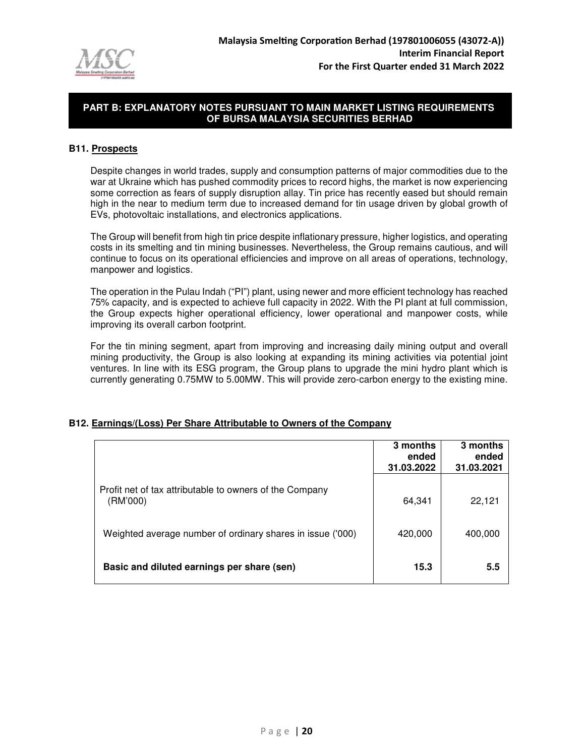

#### **B11. Prospects**

Despite changes in world trades, supply and consumption patterns of major commodities due to the war at Ukraine which has pushed commodity prices to record highs, the market is now experiencing some correction as fears of supply disruption allay. Tin price has recently eased but should remain high in the near to medium term due to increased demand for tin usage driven by global growth of EVs, photovoltaic installations, and electronics applications.

The Group will benefit from high tin price despite inflationary pressure, higher logistics, and operating costs in its smelting and tin mining businesses. Nevertheless, the Group remains cautious, and will continue to focus on its operational efficiencies and improve on all areas of operations, technology, manpower and logistics.

The operation in the Pulau Indah ("PI") plant, using newer and more efficient technology has reached 75% capacity, and is expected to achieve full capacity in 2022. With the PI plant at full commission, the Group expects higher operational efficiency, lower operational and manpower costs, while improving its overall carbon footprint.

For the tin mining segment, apart from improving and increasing daily mining output and overall mining productivity, the Group is also looking at expanding its mining activities via potential joint ventures. In line with its ESG program, the Group plans to upgrade the mini hydro plant which is currently generating 0.75MW to 5.00MW. This will provide zero-carbon energy to the existing mine.

## **B12. Earnings/(Loss) Per Share Attributable to Owners of the Company**

|                                                                     | 3 months<br>ended<br>31.03.2022 | 3 months<br>ended<br>31.03.2021 |
|---------------------------------------------------------------------|---------------------------------|---------------------------------|
| Profit net of tax attributable to owners of the Company<br>(RM'000) | 64,341                          | 22,121                          |
| Weighted average number of ordinary shares in issue ('000)          | 420,000                         | 400,000                         |
| Basic and diluted earnings per share (sen)                          | 15.3                            | 5.5                             |